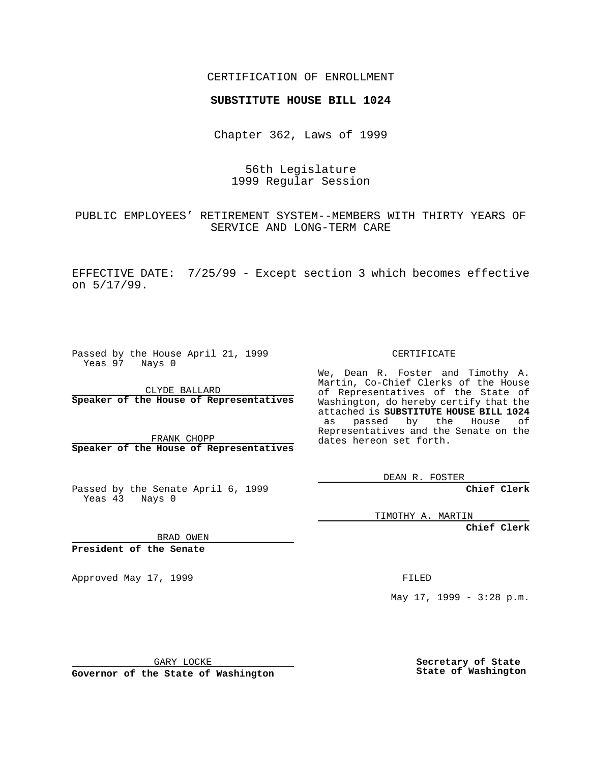CERTIFICATION OF ENROLLMENT

## **SUBSTITUTE HOUSE BILL 1024**

Chapter 362, Laws of 1999

56th Legislature 1999 Regular Session

PUBLIC EMPLOYEES' RETIREMENT SYSTEM--MEMBERS WITH THIRTY YEARS OF SERVICE AND LONG-TERM CARE

EFFECTIVE DATE: 7/25/99 - Except section 3 which becomes effective on 5/17/99.

Passed by the House April 21, 1999 Yeas 97 Nays 0

CLYDE BALLARD **Speaker of the House of Representatives**

FRANK CHOPP **Speaker of the House of Representatives**

Passed by the Senate April 6, 1999 Yeas  $4\overline{3}$  Nays 0

CERTIFICATE

We, Dean R. Foster and Timothy A. Martin, Co-Chief Clerks of the House of Representatives of the State of Washington, do hereby certify that the attached is **SUBSTITUTE HOUSE BILL 1024** as passed by the House of Representatives and the Senate on the dates hereon set forth.

DEAN R. FOSTER

**Chief Clerk**

TIMOTHY A. MARTIN

**Chief Clerk**

BRAD OWEN

**President of the Senate**

Approved May 17, 1999 **FILED** 

May 17, 1999 - 3:28 p.m.

GARY LOCKE

**Governor of the State of Washington**

**Secretary of State State of Washington**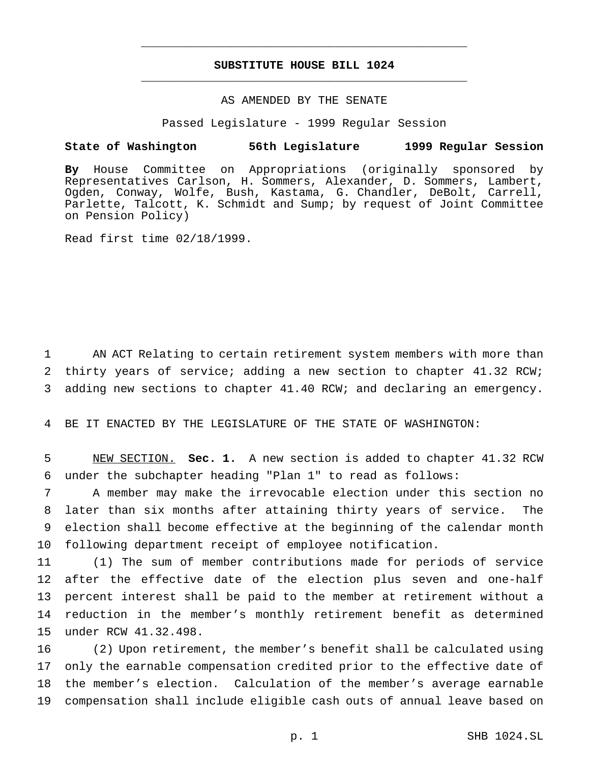## **SUBSTITUTE HOUSE BILL 1024** \_\_\_\_\_\_\_\_\_\_\_\_\_\_\_\_\_\_\_\_\_\_\_\_\_\_\_\_\_\_\_\_\_\_\_\_\_\_\_\_\_\_\_\_\_\_\_

\_\_\_\_\_\_\_\_\_\_\_\_\_\_\_\_\_\_\_\_\_\_\_\_\_\_\_\_\_\_\_\_\_\_\_\_\_\_\_\_\_\_\_\_\_\_\_

## AS AMENDED BY THE SENATE

Passed Legislature - 1999 Regular Session

## **State of Washington 56th Legislature 1999 Regular Session**

**By** House Committee on Appropriations (originally sponsored by Representatives Carlson, H. Sommers, Alexander, D. Sommers, Lambert, Ogden, Conway, Wolfe, Bush, Kastama, G. Chandler, DeBolt, Carrell, Parlette, Talcott, K. Schmidt and Sump; by request of Joint Committee on Pension Policy)

Read first time 02/18/1999.

1 AN ACT Relating to certain retirement system members with more than 2 thirty years of service; adding a new section to chapter 41.32 RCW; 3 adding new sections to chapter 41.40 RCW; and declaring an emergency.

4 BE IT ENACTED BY THE LEGISLATURE OF THE STATE OF WASHINGTON:

5 NEW SECTION. **Sec. 1.** A new section is added to chapter 41.32 RCW 6 under the subchapter heading "Plan 1" to read as follows:

 A member may make the irrevocable election under this section no later than six months after attaining thirty years of service. The election shall become effective at the beginning of the calendar month following department receipt of employee notification.

 (1) The sum of member contributions made for periods of service after the effective date of the election plus seven and one-half percent interest shall be paid to the member at retirement without a reduction in the member's monthly retirement benefit as determined under RCW 41.32.498.

 (2) Upon retirement, the member's benefit shall be calculated using only the earnable compensation credited prior to the effective date of the member's election. Calculation of the member's average earnable compensation shall include eligible cash outs of annual leave based on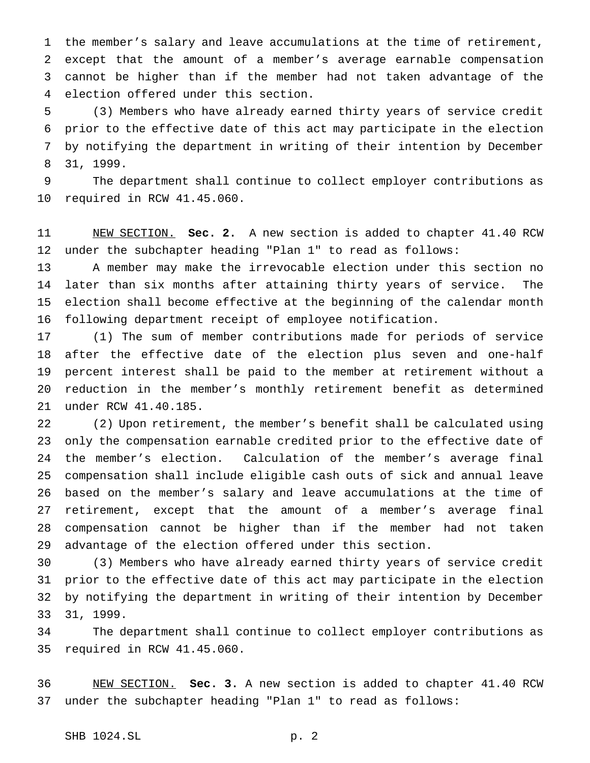the member's salary and leave accumulations at the time of retirement, except that the amount of a member's average earnable compensation cannot be higher than if the member had not taken advantage of the election offered under this section.

 (3) Members who have already earned thirty years of service credit prior to the effective date of this act may participate in the election by notifying the department in writing of their intention by December 31, 1999.

 The department shall continue to collect employer contributions as required in RCW 41.45.060.

 NEW SECTION. **Sec. 2.** A new section is added to chapter 41.40 RCW under the subchapter heading "Plan 1" to read as follows:

 A member may make the irrevocable election under this section no later than six months after attaining thirty years of service. The election shall become effective at the beginning of the calendar month following department receipt of employee notification.

 (1) The sum of member contributions made for periods of service after the effective date of the election plus seven and one-half percent interest shall be paid to the member at retirement without a reduction in the member's monthly retirement benefit as determined under RCW 41.40.185.

 (2) Upon retirement, the member's benefit shall be calculated using only the compensation earnable credited prior to the effective date of the member's election. Calculation of the member's average final compensation shall include eligible cash outs of sick and annual leave based on the member's salary and leave accumulations at the time of retirement, except that the amount of a member's average final compensation cannot be higher than if the member had not taken advantage of the election offered under this section.

 (3) Members who have already earned thirty years of service credit prior to the effective date of this act may participate in the election by notifying the department in writing of their intention by December 31, 1999.

 The department shall continue to collect employer contributions as required in RCW 41.45.060.

 NEW SECTION. **Sec. 3.** A new section is added to chapter 41.40 RCW under the subchapter heading "Plan 1" to read as follows: